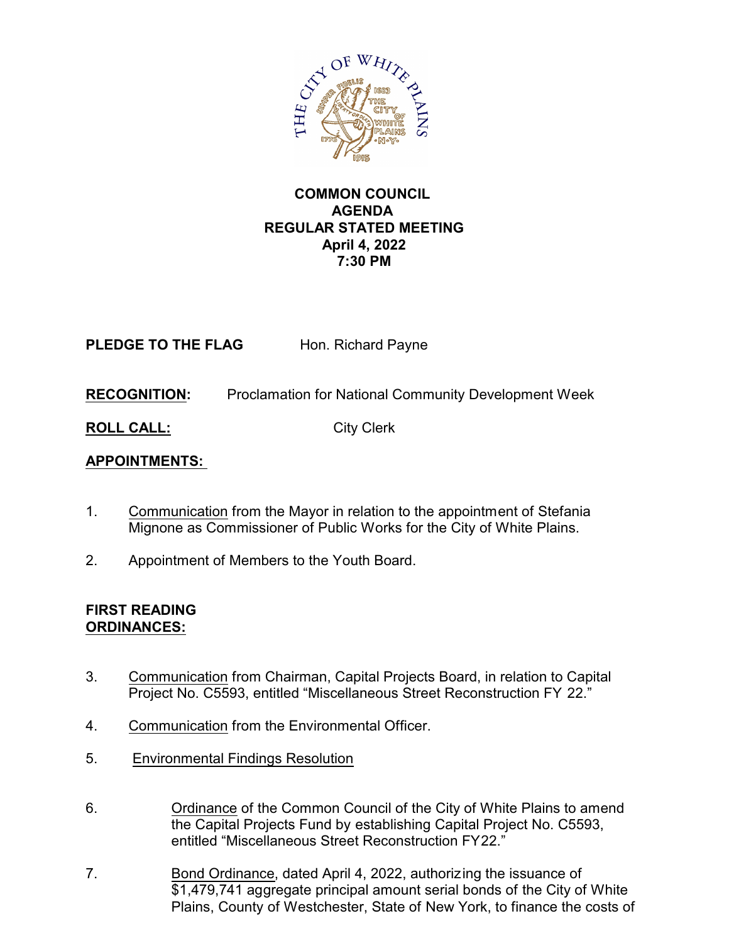

#### **COMMON COUNCIL AGENDA REGULAR STATED MEETING April 4, 2022 7:30 PM**

**PLEDGE TO THE FLAG** Hon. Richard Payne

**RECOGNITION:** Proclamation for National Community Development Week

**ROLL CALL:** City Clerk

# **APPOINTMENTS:**

- 1. Communication from the Mayor in relation to the appointment of Stefania Mignone as Commissioner of Public Works for the City of White Plains.
- 2. Appointment of Members to the Youth Board.

#### **FIRST READING ORDINANCES:**

- 3. Communication from Chairman, Capital Projects Board, in relation to Capital Project No. C5593, entitled "Miscellaneous Street Reconstruction FY 22."
- 4. Communication from the Environmental Officer.
- 5. Environmental Findings Resolution
- 6. Ordinance of the Common Council of the City of White Plains to amend the Capital Projects Fund by establishing Capital Project No. C5593, entitled "Miscellaneous Street Reconstruction FY22."
- 7. Bond Ordinance, dated April 4, 2022, authorizing the issuance of \$1,479,741 aggregate principal amount serial bonds of the City of White Plains, County of Westchester, State of New York, to finance the costs of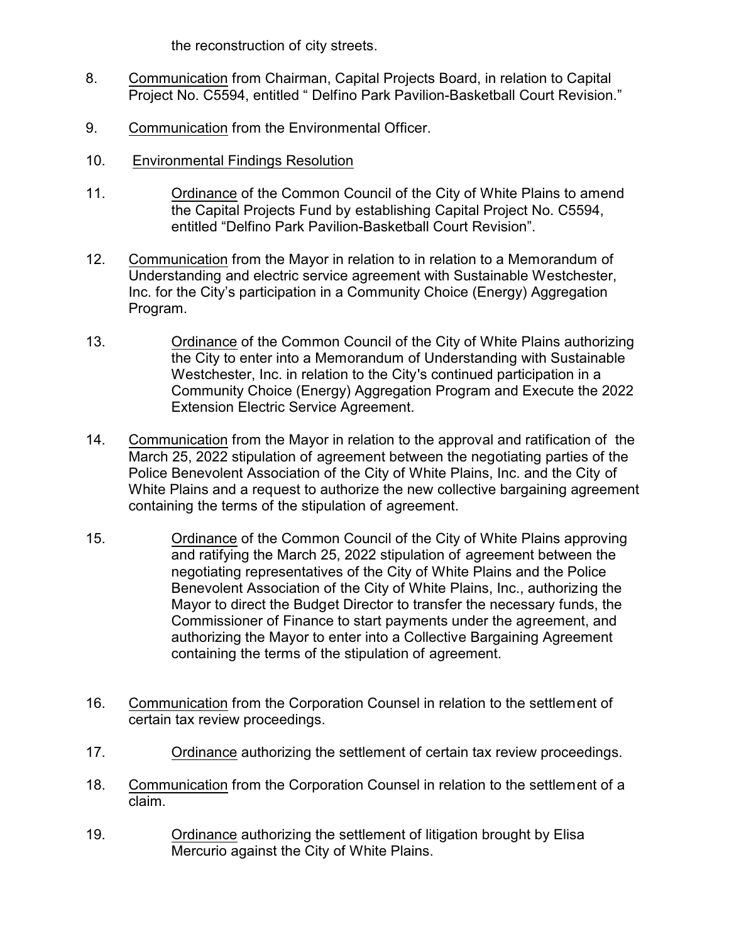the reconstruction of city streets.

- 8. Communication from Chairman, Capital Projects Board, in relation to Capital Project No. C5594, entitled " Delfino Park Pavilion-Basketball Court Revision."
- 9. Communication from the Environmental Officer.
- 10. Environmental Findings Resolution
- 11. Ordinance of the Common Council of the City of White Plains to amend the Capital Projects Fund by establishing Capital Project No. C5594, entitled "Delfino Park Pavilion-Basketball Court Revision".
- 12. Communication from the Mayor in relation to in relation to a Memorandum of Understanding and electric service agreement with Sustainable Westchester, Inc. for the City's participation in a Community Choice (Energy) Aggregation Program.
- 13. Ordinance of the Common Council of the City of White Plains authorizing the City to enter into a Memorandum of Understanding with Sustainable Westchester, Inc. in relation to the City's continued participation in a Community Choice (Energy) Aggregation Program and Execute the 2022 Extension Electric Service Agreement.
- 14. Communication from the Mayor in relation to the approval and ratification of the March 25, 2022 stipulation of agreement between the negotiating parties of the Police Benevolent Association of the City of White Plains, Inc. and the City of White Plains and a request to authorize the new collective bargaining agreement containing the terms of the stipulation of agreement.
- 15. Ordinance of the Common Council of the City of White Plains approving and ratifying the March 25, 2022 stipulation of agreement between the negotiating representatives of the City of White Plains and the Police Benevolent Association of the City of White Plains, Inc., authorizing the Mayor to direct the Budget Director to transfer the necessary funds, the Commissioner of Finance to start payments under the agreement, and authorizing the Mayor to enter into a Collective Bargaining Agreement containing the terms of the stipulation of agreement.
- 16. Communication from the Corporation Counsel in relation to the settlement of certain tax review proceedings.
- 17. Ordinance authorizing the settlement of certain tax review proceedings.
- 18. Communication from the Corporation Counsel in relation to the settlement of a claim.
- 19. Ordinance authorizing the settlement of litigation brought by Elisa Mercurio against the City of White Plains.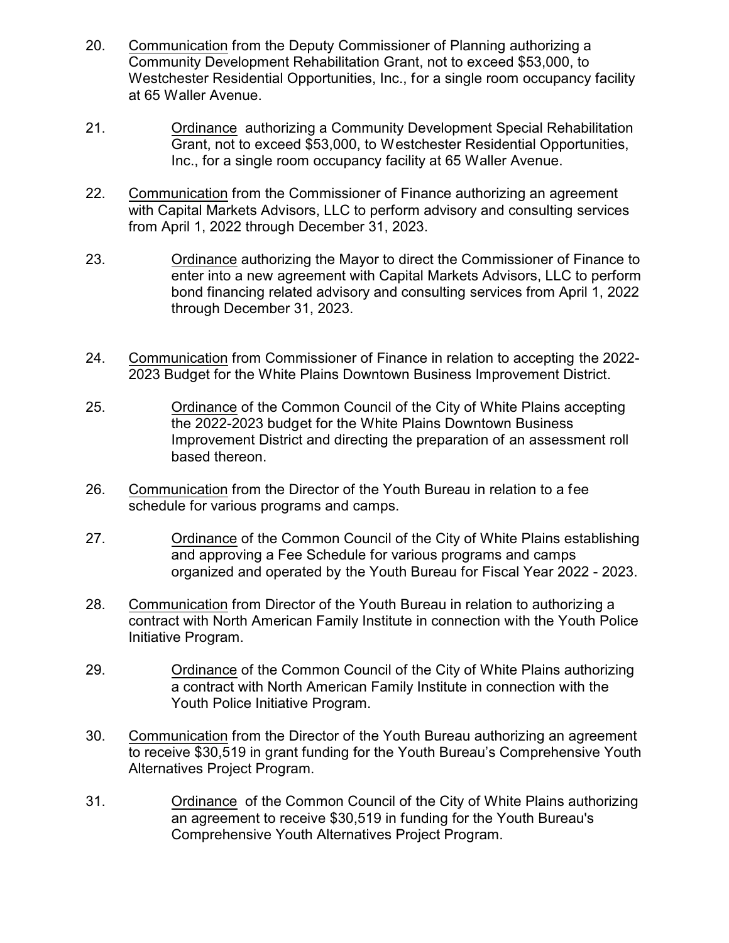- 20. Communication from the Deputy Commissioner of Planning authorizing a Community Development Rehabilitation Grant, not to exceed \$53,000, to Westchester Residential Opportunities, Inc., for a single room occupancy facility at 65 Waller Avenue.
- 21. Ordinance authorizing a Community Development Special Rehabilitation Grant, not to exceed \$53,000, to Westchester Residential Opportunities, Inc., for a single room occupancy facility at 65 Waller Avenue.
- 22. Communication from the Commissioner of Finance authorizing an agreement with Capital Markets Advisors, LLC to perform advisory and consulting services from April 1, 2022 through December 31, 2023.
- 23. Ordinance authorizing the Mayor to direct the Commissioner of Finance to enter into a new agreement with Capital Markets Advisors, LLC to perform bond financing related advisory and consulting services from April 1, 2022 through December 31, 2023.
- 24. Communication from Commissioner of Finance in relation to accepting the 2022- 2023 Budget for the White Plains Downtown Business Improvement District.
- 25. Ordinance of the Common Council of the City of White Plains accepting the 2022-2023 budget for the White Plains Downtown Business Improvement District and directing the preparation of an assessment roll based thereon.
- 26. Communication from the Director of the Youth Bureau in relation to a fee schedule for various programs and camps.
- 27. Ordinance of the Common Council of the City of White Plains establishing and approving a Fee Schedule for various programs and camps organized and operated by the Youth Bureau for Fiscal Year 2022 - 2023.
- 28. Communication from Director of the Youth Bureau in relation to authorizing a contract with North American Family Institute in connection with the Youth Police Initiative Program.
- 29. Ordinance of the Common Council of the City of White Plains authorizing a contract with North American Family Institute in connection with the Youth Police Initiative Program.
- 30. Communication from the Director of the Youth Bureau authorizing an agreement to receive \$30,519 in grant funding for the Youth Bureau's Comprehensive Youth Alternatives Project Program.
- 31. Ordinance of the Common Council of the City of White Plains authorizing an agreement to receive \$30,519 in funding for the Youth Bureau's Comprehensive Youth Alternatives Project Program.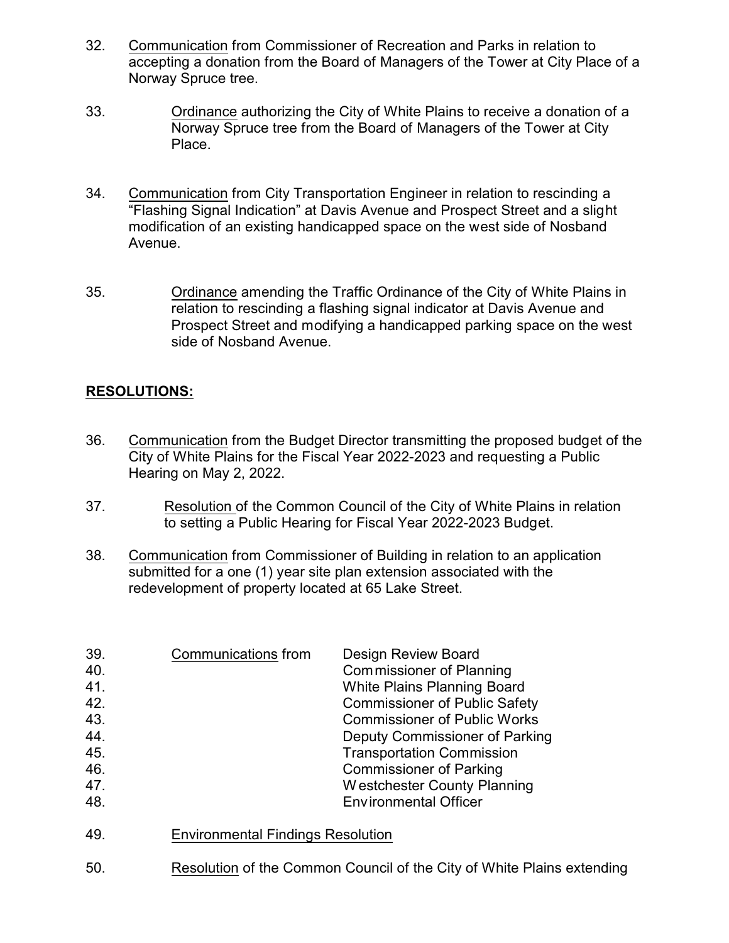- 32. Communication from Commissioner of Recreation and Parks in relation to accepting a donation from the Board of Managers of the Tower at City Place of a Norway Spruce tree.
- 33. Ordinance authorizing the City of White Plains to receive a donation of a Norway Spruce tree from the Board of Managers of the Tower at City Place.
- 34. Communication from City Transportation Engineer in relation to rescinding a "Flashing Signal Indication" at Davis Avenue and Prospect Street and a slight modification of an existing handicapped space on the west side of Nosband Avenue.
- 35. Ordinance amending the Traffic Ordinance of the City of White Plains in relation to rescinding a flashing signal indicator at Davis Avenue and Prospect Street and modifying a handicapped parking space on the west side of Nosband Avenue.

## **RESOLUTIONS:**

- 36. Communication from the Budget Director transmitting the proposed budget of the City of White Plains for the Fiscal Year 2022-2023 and requesting a Public Hearing on May 2, 2022.
- 37. Resolution of the Common Council of the City of White Plains in relation to setting a Public Hearing for Fiscal Year 2022-2023 Budget.
- 38. Communication from Commissioner of Building in relation to an application submitted for a one (1) year site plan extension associated with the redevelopment of property located at 65 Lake Street.

| 39.<br>40.<br>41.<br>42.<br>43.<br>44.<br>45.<br>46.<br>47.<br>48. | Communications from                      | Design Review Board<br><b>Commissioner of Planning</b><br><b>White Plains Planning Board</b><br><b>Commissioner of Public Safety</b><br><b>Commissioner of Public Works</b><br>Deputy Commissioner of Parking<br><b>Transportation Commission</b><br><b>Commissioner of Parking</b><br>Westchester County Planning<br><b>Environmental Officer</b> |
|--------------------------------------------------------------------|------------------------------------------|----------------------------------------------------------------------------------------------------------------------------------------------------------------------------------------------------------------------------------------------------------------------------------------------------------------------------------------------------|
| 49.                                                                | <b>Environmental Findings Resolution</b> |                                                                                                                                                                                                                                                                                                                                                    |

50. Resolution of the Common Council of the City of White Plains extending